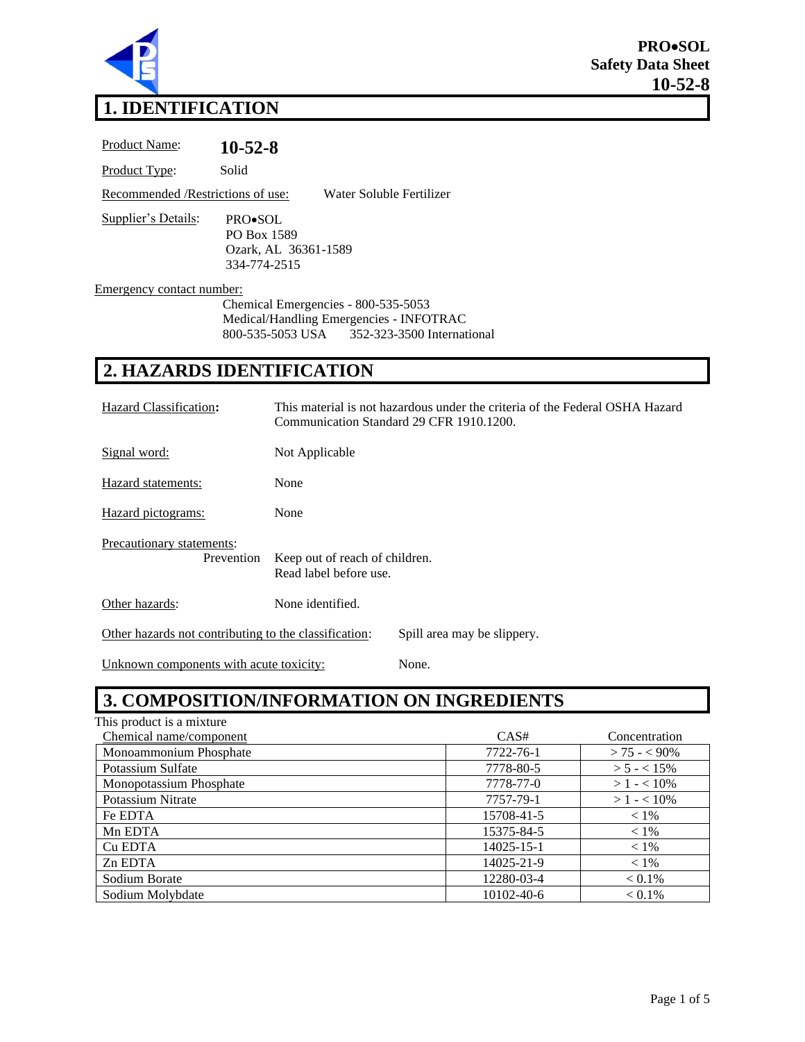

# **1. IDENTIFICATION**

Product Name: **10-52-8** Product Type: Solid Recommended /Restrictions of use: Water Soluble Fertilizer Supplier's Details: PRO•SOL PO Box 1589 Ozark, AL 36361-1589 334-774-2515 Emergency contact number:

> Chemical Emergencies - 800-535-5053 Medical/Handling Emergencies - INFOTRAC 800-535-5053 USA 352-323-3500 International

# **2. HAZARDS IDENTIFICATION**

| Hazard Classification:                                                               | This material is not hazardous under the criteria of the Federal OSHA Hazard<br>Communication Standard 29 CFR 1910.1200. |  |
|--------------------------------------------------------------------------------------|--------------------------------------------------------------------------------------------------------------------------|--|
| Signal word:                                                                         | Not Applicable                                                                                                           |  |
| Hazard statements:                                                                   | None                                                                                                                     |  |
| Hazard pictograms:                                                                   | None                                                                                                                     |  |
| Precautionary statements:<br>Prevention                                              | Keep out of reach of children.<br>Read label before use.                                                                 |  |
| Other hazards:                                                                       | None identified.                                                                                                         |  |
| Other hazards not contributing to the classification:<br>Spill area may be slippery. |                                                                                                                          |  |

Unknown components with acute toxicity: None.

# **3. COMPOSITION/INFORMATION ON INGREDIENTS**

| This product is a mixture |                  |                 |
|---------------------------|------------------|-----------------|
| Chemical name/component   | CAS#             | Concentration   |
| Monoammonium Phosphate    | 7722-76-1        | $> 75 - 5.90\%$ |
| Potassium Sulfate         | 7778-80-5        | $> 5 - < 15\%$  |
| Monopotassium Phosphate   | 7778-77-0        | $>1 - 10\%$     |
| Potassium Nitrate         | 7757-79-1        | $>1 - 10\%$     |
| Fe EDTA                   | 15708-41-5       | $< 1\%$         |
| Mn EDTA                   | 15375-84-5       | $< 1\%$         |
| Cu EDTA                   | $14025 - 15 - 1$ | $< 1\%$         |
| Zn EDTA                   | 14025-21-9       | $< 1\%$         |
| Sodium Borate             | 12280-03-4       | $< 0.1\%$       |
| Sodium Molybdate          | $10102 - 40 - 6$ | $< 0.1\%$       |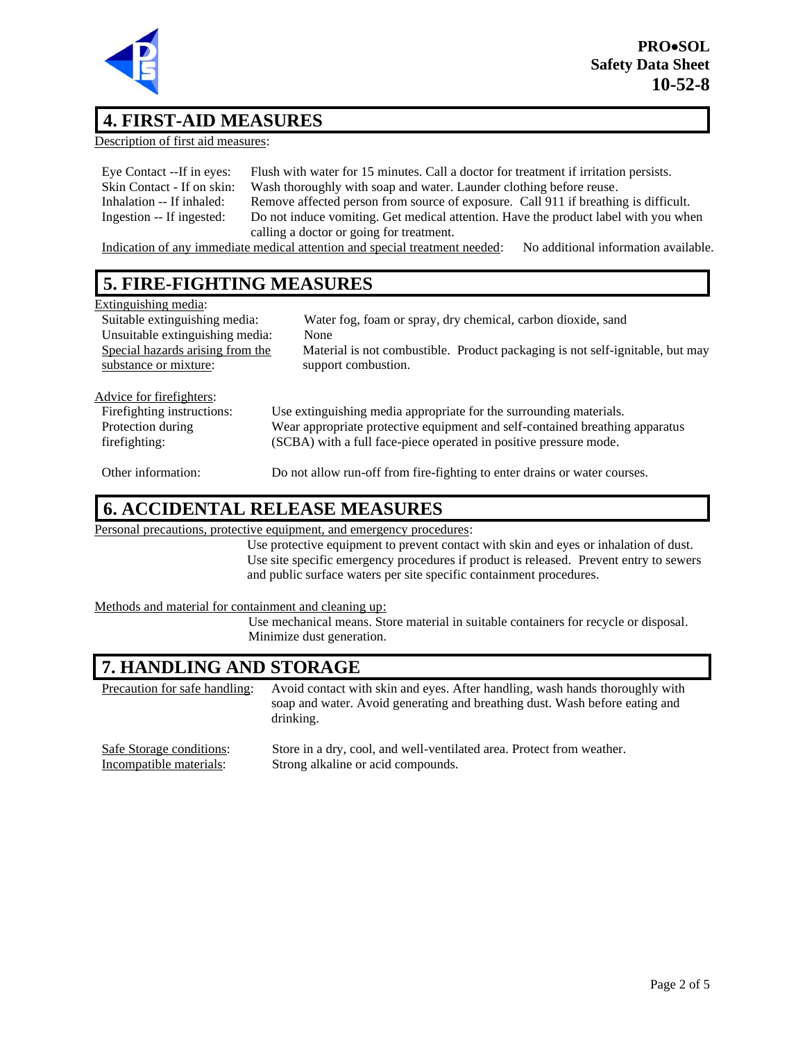

## **4. FIRST-AID MEASURES**

Description of first aid measures:

| Eye Contact --If in eyes:  | Flush with water for 15 minutes. Call a doctor for treatment if irritation persists. |
|----------------------------|--------------------------------------------------------------------------------------|
| Skin Contact - If on skin: | Wash thoroughly with soap and water. Launder clothing before reuse.                  |
| Inhalation -- If inhaled:  | Remove affected person from source of exposure. Call 911 if breathing is difficult.  |
| Ingestion -- If ingested:  | Do not induce vomiting. Get medical attention. Have the product label with you when  |
|                            | calling a doctor or going for treatment.                                             |

Indication of any immediate medical attention and special treatment needed: No additional information available.

# **5. FIRE-FIGHTING MEASURES**

#### Extinguishing media:

| <b>EAULE</b> Abiling mount       |                                                                               |
|----------------------------------|-------------------------------------------------------------------------------|
| Suitable extinguishing media:    | Water fog, foam or spray, dry chemical, carbon dioxide, sand                  |
| Unsuitable extinguishing media:  | None                                                                          |
| Special hazards arising from the | Material is not combustible. Product packaging is not self-ignitable, but may |
| substance or mixture:            | support combustion.                                                           |
|                                  |                                                                               |
| Advice for firefighters:         |                                                                               |
| Firefighting instructions:       | Use extinguishing media appropriate for the surrounding materials.            |
| Protection during                | Wear appropriate protective equipment and self-contained breathing apparatus  |
| firefighting:                    | (SCBA) with a full face-piece operated in positive pressure mode.             |
|                                  |                                                                               |
| Other information:               | Do not allow run-off from fire-fighting to enter drains or water courses.     |

#### **6. ACCIDENTAL RELEASE MEASURES**

Personal precautions, protective equipment, and emergency procedures:

Use protective equipment to prevent contact with skin and eyes or inhalation of dust. Use site specific emergency procedures if product is released. Prevent entry to sewers and public surface waters per site specific containment procedures.

Methods and material for containment and cleaning up:

Use mechanical means. Store material in suitable containers for recycle or disposal. Minimize dust generation.

#### **7. HANDLING AND STORAGE**

Precaution for safe handling: Avoid contact with skin and eyes. After handling, wash hands thoroughly with soap and water. Avoid generating and breathing dust. Wash before eating and drinking. Safe Storage conditions: Store in a dry, cool, and well-ventilated area. Protect from weather.

Incompatible materials: Strong alkaline or acid compounds.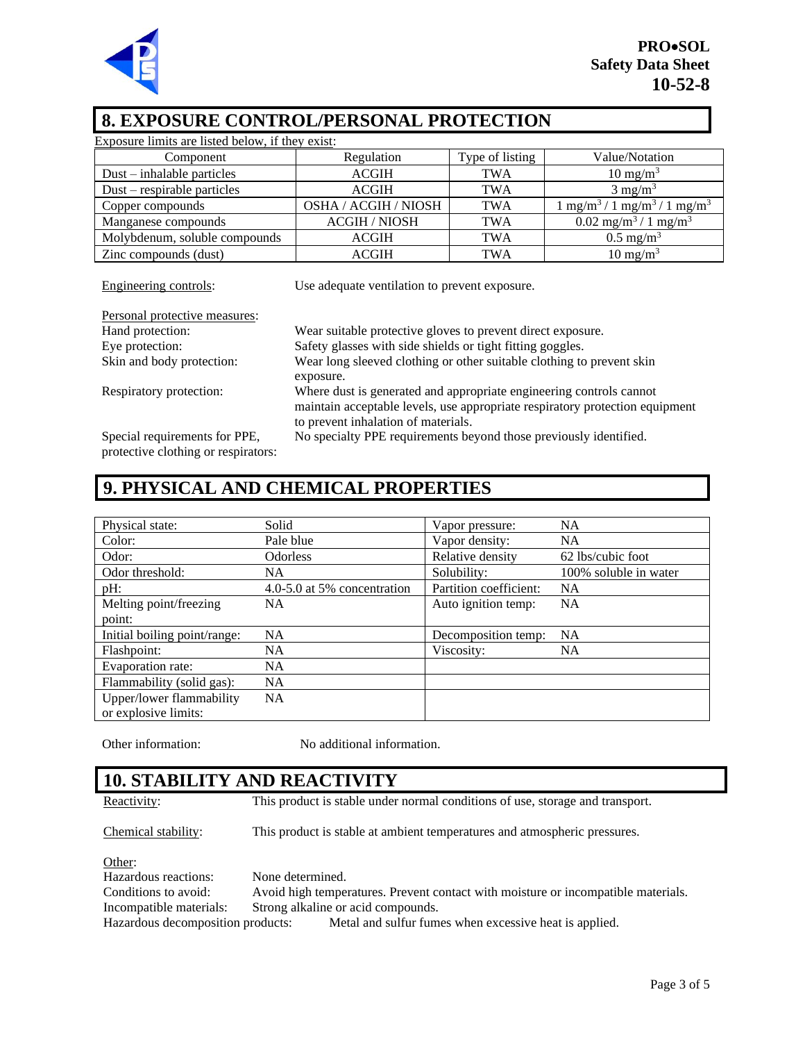

## **8. EXPOSURE CONTROL/PERSONAL PROTECTION**

| Exposure limits are listed below, if they exist:                       |                                                                                                                                                     |                 |                                                          |
|------------------------------------------------------------------------|-----------------------------------------------------------------------------------------------------------------------------------------------------|-----------------|----------------------------------------------------------|
| Component                                                              | Regulation                                                                                                                                          | Type of listing | Value/Notation                                           |
| $Dust - inhalable particles$                                           | <b>ACGIH</b>                                                                                                                                        | <b>TWA</b>      | $10 \text{ mg/m}^3$                                      |
| Dust – respirable particles                                            | <b>ACGIH</b>                                                                                                                                        | TWA             | $3 \text{ mg/m}^3$                                       |
| Copper compounds                                                       | OSHA / ACGIH / NIOSH                                                                                                                                | <b>TWA</b>      | $1 \text{ mg/m}^3 / 1 \text{ mg/m}^3 / 1 \text{ mg/m}^3$ |
| Manganese compounds                                                    | <b>ACGIH / NIOSH</b>                                                                                                                                | <b>TWA</b>      | $0.02$ mg/m <sup>3</sup> / 1 mg/m <sup>3</sup>           |
| Molybdenum, soluble compounds                                          | <b>ACGIH</b>                                                                                                                                        | <b>TWA</b>      | $0.5 \text{ mg/m}^3$                                     |
| Zinc compounds (dust)                                                  | <b>ACGIH</b>                                                                                                                                        | <b>TWA</b>      | $10 \text{ mg/m}^3$                                      |
| Engineering controls:<br>Use adequate ventilation to prevent exposure. |                                                                                                                                                     |                 |                                                          |
| Personal protective measures:<br>Hand protection:                      |                                                                                                                                                     |                 |                                                          |
| Eye protection:                                                        | Wear suitable protective gloves to prevent direct exposure.<br>Safety glasses with side shields or tight fitting goggles.                           |                 |                                                          |
| Skin and body protection:                                              | Wear long sleeved clothing or other suitable clothing to prevent skin<br>exposure.                                                                  |                 |                                                          |
| Respiratory protection:                                                | Where dust is generated and appropriate engineering controls cannot<br>maintain acceptable levels, use appropriate respiratory protection equipment |                 |                                                          |

Special requirements for PPE, protective clothing or respirators: to prevent inhalation of materials. No specialty PPE requirements beyond those previously identified.

# **9. PHYSICAL AND CHEMICAL PROPERTIES**

| Physical state:                                  | Solid                       | Vapor pressure:        | <b>NA</b>             |
|--------------------------------------------------|-----------------------------|------------------------|-----------------------|
| Color:                                           | Pale blue                   | Vapor density:         | <b>NA</b>             |
| Odor:                                            | <b>Odorless</b>             | Relative density       | 62 lbs/cubic foot     |
| Odor threshold:                                  | NA.                         | Solubility:            | 100% soluble in water |
| $pH$ :                                           | 4.0-5.0 at 5% concentration | Partition coefficient: | <b>NA</b>             |
| Melting point/freezing                           | <b>NA</b>                   | Auto ignition temp:    | <b>NA</b>             |
| point:                                           |                             |                        |                       |
| Initial boiling point/range:                     | NA.                         | Decomposition temp:    | <b>NA</b>             |
| Flashpoint:                                      | NA.                         | Viscosity:             | NA.                   |
| Evaporation rate:                                | <b>NA</b>                   |                        |                       |
| Flammability (solid gas):                        | <b>NA</b>                   |                        |                       |
| Upper/lower flammability<br>or explosive limits: | <b>NA</b>                   |                        |                       |

Other information: No additional information.

# **10. STABILITY AND REACTIVITY**

Reactivity: This product is stable under normal conditions of use, storage and transport.

Chemical stability: This product is stable at ambient temperatures and atmospheric pressures.

Other:

Hazardous reactions: None determined. Conditions to avoid: Avoid high temperatures. Prevent contact with moisture or incompatible materials. Incompatible materials: Strong alkaline or acid compounds. Hazardous decomposition products: Metal and sulfur fumes when excessive heat is applied.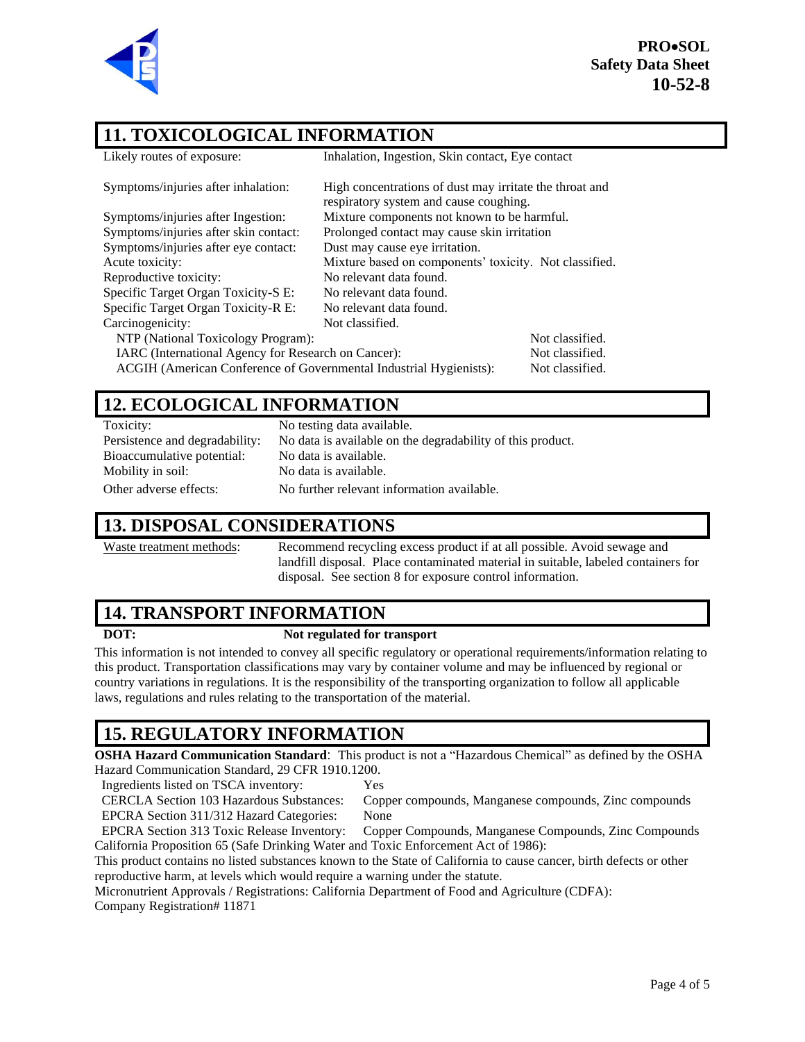

**PRO**•**SOL Safety Data Sheet 10-52-8**

# **11. TOXICOLOGICAL INFORMATION**

| Likely routes of exposure:                                                            | Inhalation, Ingestion, Skin contact, Eye contact                                                  |                 |
|---------------------------------------------------------------------------------------|---------------------------------------------------------------------------------------------------|-----------------|
| Symptoms/injuries after inhalation:                                                   | High concentrations of dust may irritate the throat and<br>respiratory system and cause coughing. |                 |
| Symptoms/injuries after Ingestion:                                                    | Mixture components not known to be harmful.                                                       |                 |
| Symptoms/injuries after skin contact:                                                 | Prolonged contact may cause skin irritation                                                       |                 |
| Symptoms/injuries after eye contact:                                                  | Dust may cause eye irritation.                                                                    |                 |
| Acute toxicity:                                                                       | Mixture based on components' toxicity. Not classified.                                            |                 |
| Reproductive toxicity:                                                                | No relevant data found.                                                                           |                 |
| Specific Target Organ Toxicity-S E:                                                   | No relevant data found.                                                                           |                 |
| Specific Target Organ Toxicity-R E:                                                   | No relevant data found.                                                                           |                 |
| Carcinogenicity:                                                                      | Not classified.                                                                                   |                 |
| NTP (National Toxicology Program):                                                    |                                                                                                   | Not classified. |
| IARC (International Agency for Research on Cancer):                                   |                                                                                                   | Not classified. |
| ACGIH (American Conference of Governmental Industrial Hygienists):<br>Not classified. |                                                                                                   |                 |
|                                                                                       |                                                                                                   |                 |

## **12. ECOLOGICAL INFORMATION**

| Toxicity:                      | No testing data available.                                 |
|--------------------------------|------------------------------------------------------------|
| Persistence and degradability: | No data is available on the degradability of this product. |
| Bioaccumulative potential:     | No data is available.                                      |
| Mobility in soil:              | No data is available.                                      |
| Other adverse effects:         | No further relevant information available.                 |

#### **13. DISPOSAL CONSIDERATIONS**

Waste treatment methods: Recommend recycling excess product if at all possible. Avoid sewage and landfill disposal. Place contaminated material in suitable, labeled containers for disposal. See section 8 for exposure control information.

# **14. TRANSPORT INFORMATION**

#### **DOT: Not regulated for transport**

This information is not intended to convey all specific regulatory or operational requirements/information relating to this product. Transportation classifications may vary by container volume and may be influenced by regional or country variations in regulations. It is the responsibility of the transporting organization to follow all applicable laws, regulations and rules relating to the transportation of the material.

# **15. REGULATORY INFORMATION**

**OSHA Hazard Communication Standard**: This product is not a "Hazardous Chemical" as defined by the OSHA Hazard Communication Standard, 29 CFR 1910.1200.

Ingredients listed on TSCA inventory: Yes

CERCLA Section 103 Hazardous Substances: Copper compounds, Manganese compounds, Zinc compounds EPCRA Section 311/312 Hazard Categories: None

EPCRA Section 313 Toxic Release Inventory: Copper Compounds, Manganese Compounds, Zinc Compounds California Proposition 65 (Safe Drinking Water and Toxic Enforcement Act of 1986):

This product contains no listed substances known to the State of California to cause cancer, birth defects or other reproductive harm, at levels which would require a warning under the statute.

Micronutrient Approvals / Registrations: California Department of Food and Agriculture (CDFA): Company Registration# 11871